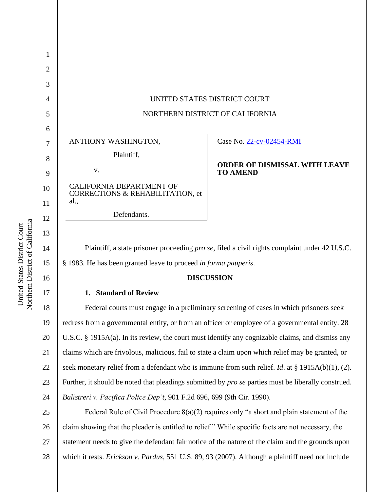| 1  |                                                                                                 |                                                         |
|----|-------------------------------------------------------------------------------------------------|---------------------------------------------------------|
| 2  |                                                                                                 |                                                         |
| 3  |                                                                                                 |                                                         |
| 4  | UNITED STATES DISTRICT COURT                                                                    |                                                         |
| 5  | NORTHERN DISTRICT OF CALIFORNIA                                                                 |                                                         |
| 6  |                                                                                                 |                                                         |
| 7  | ANTHONY WASHINGTON,                                                                             | Case No. 22-cv-02454-RMI                                |
| 8  | Plaintiff,                                                                                      |                                                         |
| 9  | V.                                                                                              | <b>ORDER OF DISMISSAL WITH LEAVE</b><br><b>TO AMEND</b> |
| 10 | <b>CALIFORNIA DEPARTMENT OF</b><br>CORRECTIONS & REHABILITATION, et                             |                                                         |
| 11 | al.,                                                                                            |                                                         |
| 12 | Defendants.                                                                                     |                                                         |
| 13 |                                                                                                 |                                                         |
| 14 | Plaintiff, a state prisoner proceeding pro se, filed a civil rights complaint under 42 U.S.C.   |                                                         |
| 15 | § 1983. He has been granted leave to proceed in forma pauperis.                                 |                                                         |
| 16 | <b>DISCUSSION</b>                                                                               |                                                         |
| 17 | 1. Standard of Review                                                                           |                                                         |
| 18 | Federal courts must engage in a preliminary screening of cases in which prisoners seek          |                                                         |
| 19 | redress from a governmental entity, or from an officer or employee of a governmental entity. 28 |                                                         |
|    |                                                                                                 |                                                         |

20 U.S.C. § 1915A(a). In its review, the court must identify any cognizable claims, and dismiss any

21 claims which are frivolous, malicious, fail to state a claim upon which relief may be granted, or

seek monetary relief from a defendant who is immune from such relief. *Id*. at § 1915A(b)(1), (2).

23 Further, it should be noted that pleadings submitted by *pro se* parties must be liberally construed.

*Balistreri v. Pacifica Police Dep't*, 901 F.2d 696, 699 (9th Cir. 1990).

25 26 27 28 Federal Rule of Civil Procedure 8(a)(2) requires only "a short and plain statement of the claim showing that the pleader is entitled to relief." While specific facts are not necessary, the statement needs to give the defendant fair notice of the nature of the claim and the grounds upon which it rests. *Erickson v. Pardus*, 551 U.S. 89, 93 (2007). Although a plaintiff need not include

22

24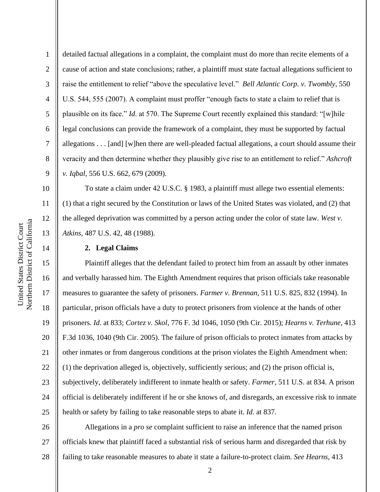10

11

12

13

14

1 2 3 4 5 6 7 8 9 detailed factual allegations in a complaint, the complaint must do more than recite elements of a cause of action and state conclusions; rather, a plaintiff must state factual allegations sufficient to raise the entitlement to relief "above the speculative level." *Bell Atlantic Corp. v. Twombly*, 550 U.S. 544, 555 (2007). A complaint must proffer "enough facts to state a claim to relief that is plausible on its face." *Id*. at 570. The Supreme Court recently explained this standard: "[w]hile legal conclusions can provide the framework of a complaint, they must be supported by factual allegations . . . [and] [w]hen there are well-pleaded factual allegations, a court should assume their veracity and then determine whether they plausibly give rise to an entitlement to relief." *Ashcroft v. Iqbal*, 556 U.S. 662, 679 (2009).

To state a claim under 42 U.S.C. § 1983, a plaintiff must allege two essential elements: (1) that a right secured by the Constitution or laws of the United States was violated, and (2) that the alleged deprivation was committed by a person acting under the color of state law. *West v. Atkins*, 487 U.S. 42, 48 (1988).

## **2. Legal Claims**

15 16 17 18 19 20 21 22 23 24 25 Plaintiff alleges that the defendant failed to protect him from an assault by other inmates and verbally harassed him. The Eighth Amendment requires that prison officials take reasonable measures to guarantee the safety of prisoners. *Farmer v. Brennan*, 511 U.S. 825, 832 (1994). In particular, prison officials have a duty to protect prisoners from violence at the hands of other prisoners. *Id*. at 833; *Cortez v. Skol*, 776 F. 3d 1046, 1050 (9th Cir. 2015); *Hearns v. Terhune*, 413 F.3d 1036, 1040 (9th Cir. 2005). The failure of prison officials to protect inmates from attacks by other inmates or from dangerous conditions at the prison violates the Eighth Amendment when: (1) the deprivation alleged is, objectively, sufficiently serious; and (2) the prison official is, subjectively, deliberately indifferent to inmate health or safety. *Farmer*, 511 U.S. at 834. A prison official is deliberately indifferent if he or she knows of, and disregards, an excessive risk to inmate health or safety by failing to take reasonable steps to abate it. *Id*. at 837.

26 27 28 Allegations in a *pro se* complaint sufficient to raise an inference that the named prison officials knew that plaintiff faced a substantial risk of serious harm and disregarded that risk by failing to take reasonable measures to abate it state a failure-to-protect claim. *See Hearns*, 413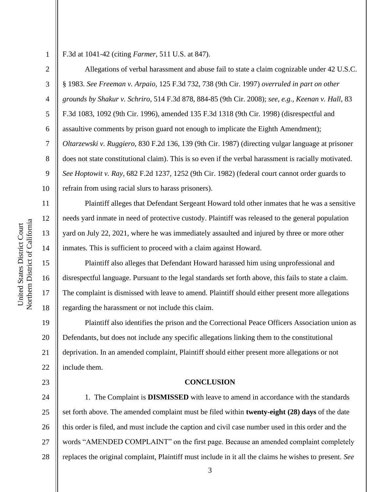1 2

3

4

5

8

9

11

12

13

14

15

16

17

18

23

F.3d at 1041-42 (citing *Farmer*, 511 U.S. at 847).

6 7 10 Allegations of verbal harassment and abuse fail to state a claim cognizable under 42 U.S.C. § 1983. *See Freeman v. Arpaio*, 125 F.3d 732, 738 (9th Cir. 1997) *overruled in part on other grounds by Shakur v. Schriro*, 514 F.3d 878, 884-85 (9th Cir. 2008); *see, e.g., Keenan v. Hall*, 83 F.3d 1083, 1092 (9th Cir. 1996), amended 135 F.3d 1318 (9th Cir. 1998) (disrespectful and assaultive comments by prison guard not enough to implicate the Eighth Amendment); *Oltarzewski v. Ruggiero*, 830 F.2d 136, 139 (9th Cir. 1987) (directing vulgar language at prisoner does not state constitutional claim). This is so even if the verbal harassment is racially motivated. *See Hoptowit v. Ray*, 682 F.2d 1237, 1252 (9th Cir. 1982) (federal court cannot order guards to refrain from using racial slurs to harass prisoners).

Plaintiff alleges that Defendant Sergeant Howard told other inmates that he was a sensitive needs yard inmate in need of protective custody. Plaintiff was released to the general population yard on July 22, 2021, where he was immediately assaulted and injured by three or more other inmates. This is sufficient to proceed with a claim against Howard.

Plaintiff also alleges that Defendant Howard harassed him using unprofessional and disrespectful language. Pursuant to the legal standards set forth above, this fails to state a claim. The complaint is dismissed with leave to amend. Plaintiff should either present more allegations regarding the harassment or not include this claim.

19 20 21 22 Plaintiff also identifies the prison and the Correctional Peace Officers Association union as Defendants, but does not include any specific allegations linking them to the constitutional deprivation. In an amended complaint, Plaintiff should either present more allegations or not include them.

## **CONCLUSION**

24 25 26 27 28 1. The Complaint is **DISMISSED** with leave to amend in accordance with the standards set forth above. The amended complaint must be filed within **twenty-eight (28) days** of the date this order is filed, and must include the caption and civil case number used in this order and the words "AMENDED COMPLAINT" on the first page. Because an amended complaint completely replaces the original complaint, Plaintiff must include in it all the claims he wishes to present. *See*